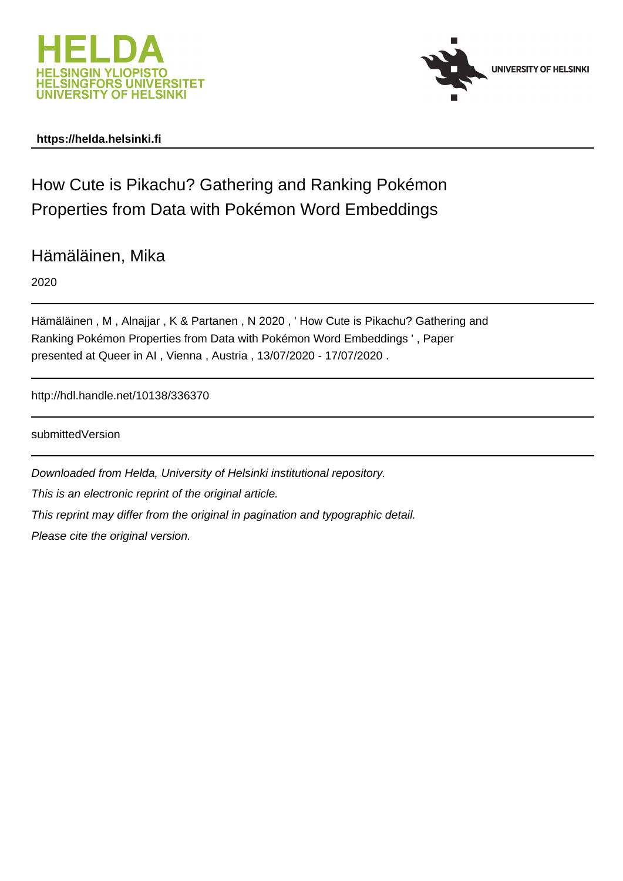



# **https://helda.helsinki.fi**

How Cute is Pikachu? Gathering and Ranking Pokémon Properties from Data with Pokémon Word Embeddings

Hämäläinen, Mika

2020

Hämäläinen , M , Alnajjar , K & Partanen , N 2020 , ' How Cute is Pikachu? Gathering and Ranking Pokémon Properties from Data with Pokémon Word Embeddings ' , Paper presented at Queer in AI , Vienna , Austria , 13/07/2020 - 17/07/2020 .

http://hdl.handle.net/10138/336370

submittedVersion

Downloaded from Helda, University of Helsinki institutional repository. This is an electronic reprint of the original article. This reprint may differ from the original in pagination and typographic detail. Please cite the original version.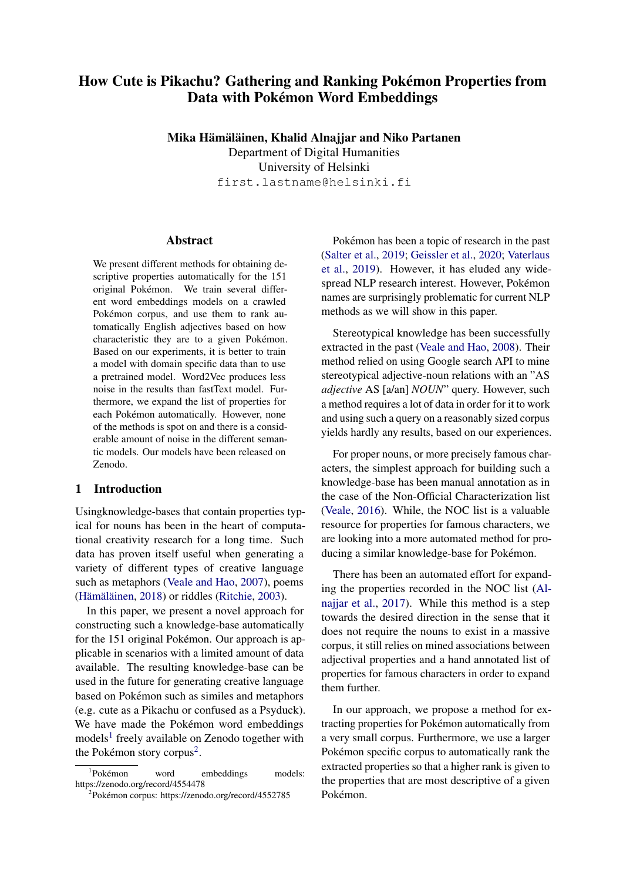# How Cute is Pikachu? Gathering and Ranking Pokemon Properties from ´ Data with Pokémon Word Embeddings

Mika Hämäläinen, Khalid Alnajjar and Niko Partanen

Department of Digital Humanities University of Helsinki first.lastname@helsinki.fi

### Abstract

We present different methods for obtaining descriptive properties automatically for the 151 original Pokémon. We train several different word embeddings models on a crawled Pokémon corpus, and use them to rank automatically English adjectives based on how characteristic they are to a given Pokémon. Based on our experiments, it is better to train a model with domain specific data than to use a pretrained model. Word2Vec produces less noise in the results than fastText model. Furthermore, we expand the list of properties for each Pokémon automatically. However, none of the methods is spot on and there is a considerable amount of noise in the different semantic models. Our models have been released on Zenodo.

### 1 Introduction

Usingknowledge-bases that contain properties typical for nouns has been in the heart of computational creativity research for a long time. Such data has proven itself useful when generating a variety of different types of creative language such as metaphors (Veale and Hao, 2007), poems (Hämäläinen, 2018) or riddles (Ritchie, 2003).

In this paper, we present a novel approach for constructing such a knowledge-base automatically for the 151 original Pokémon. Our approach is applicable in scenarios with a limited amount of data available. The resulting knowledge-base can be used in the future for generating creative language based on Pokémon such as similes and metaphors (e.g. cute as a Pikachu or confused as a Psyduck). We have made the Pokémon word embeddings models<sup>1</sup> freely available on Zenodo together with the Pokémon story corpus<sup>2</sup>.

Pokémon has been a topic of research in the past (Salter et al., 2019; Geissler et al., 2020; Vaterlaus et al., 2019). However, it has eluded any widespread NLP research interest. However, Pokemon ´ names are surprisingly problematic for current NLP methods as we will show in this paper.

Stereotypical knowledge has been successfully extracted in the past (Veale and Hao, 2008). Their method relied on using Google search API to mine stereotypical adjective-noun relations with an "AS *adjective* AS [a/an] *NOUN*" query. However, such a method requires a lot of data in order for it to work and using such a query on a reasonably sized corpus yields hardly any results, based on our experiences.

For proper nouns, or more precisely famous characters, the simplest approach for building such a knowledge-base has been manual annotation as in the case of the Non-Official Characterization list (Veale, 2016). While, the NOC list is a valuable resource for properties for famous characters, we are looking into a more automated method for producing a similar knowledge-base for Pokémon.

There has been an automated effort for expanding the properties recorded in the NOC list (Alnajjar et al., 2017). While this method is a step towards the desired direction in the sense that it does not require the nouns to exist in a massive corpus, it still relies on mined associations between adjectival properties and a hand annotated list of properties for famous characters in order to expand them further.

In our approach, we propose a method for extracting properties for Pokémon automatically from a very small corpus. Furthermore, we use a larger Pokémon specific corpus to automatically rank the extracted properties so that a higher rank is given to the properties that are most descriptive of a given Pokémon.

<sup>&</sup>lt;sup>1</sup>Pokémon word embeddings models: https://zenodo.org/record/4554478

<sup>&</sup>lt;sup>2</sup>Pokémon corpus: https://zenodo.org/record/4552785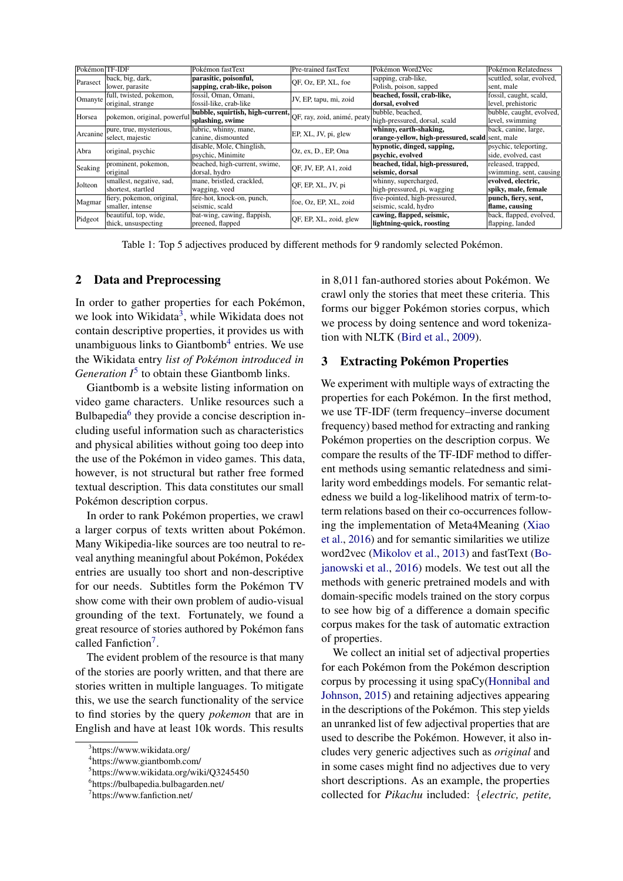| Pokémon TF-IDF |                             | Pokémon fastText                                             | Pre-trained fastText   | Pokémon Word2Vec                                | Pokémon Relatedness       |
|----------------|-----------------------------|--------------------------------------------------------------|------------------------|-------------------------------------------------|---------------------------|
| Parasect       | back, big, dark,            | parasitic, poisonful,                                        | OF, Oz, EP, XL, foe    | sapping, crab-like,                             | scuttled, solar, evolved, |
|                | lower, parasite             | sapping, crab-like, poison                                   |                        | Polish, poison, sapped                          | sent, male                |
| Omanyte        | full, twisted, pokemon,     | fossil, Oman, Omani,                                         | JV, EP, tapu, mi, zoid | beached, fossil, crab-like,                     | fossil, caught, scald,    |
|                | original, strange           | fossil-like, crab-like                                       |                        | dorsal, evolved                                 | level, prehistoric        |
| Horsea         | pokemon, original, powerful | bubble, squirtish, high-current, QF, ray, zoid, animé, peaty |                        | bubble, beached,                                | bubble, caught, evolved,  |
|                |                             | splashing, swime                                             |                        | high-pressured, dorsal, scald                   | level, swimming           |
| Arcanine       | pure, true, mysterious,     | lubric, whinny, mane,                                        | EP, XL, JV, pi, glew   | whinny, earth-shaking,                          | back, canine, large,      |
|                | select, majestic            | canine, dismounted                                           |                        | orange-yellow, high-pressured, scald sent, male |                           |
| Abra           | original, psychic           | disable, Mole, Chinglish,                                    | Oz, ex, D., EP, Ona    | hypnotic, dinged, sapping,                      | psychic, teleporting,     |
|                |                             | psychic, Minimite                                            |                        | psychic, evolved                                | side, evolved, cast       |
| Seaking        | prominent, pokemon,         | beached, high-current, swime,                                | OF, JV, EP, A1, zoid   | beached, tidal, high-pressured,                 | released, trapped,        |
|                | original                    | dorsal, hydro                                                |                        | seismic, dorsal                                 | swimming, sent, causing   |
| Jolteon        | smallest, negative, sad,    | mane, bristled, crackled,                                    | QF, EP, XL, JV, pi     | whinny, supercharged,                           | evolved, electric,        |
|                | shortest, startled          | wagging, veed                                                |                        | high-pressured, pi, wagging                     | spiky, male, female       |
| Magmar         | fiery, pokemon, original,   | fire-hot, knock-on, punch,                                   | foe, Oz, EP, XL, zoid  | five-pointed, high-pressured,                   | punch, fiery, sent,       |
|                | smaller, intense            | seismic, scald                                               |                        | seismic, scald, hydro                           | flame, causing            |
| Pidgeot        | beautiful, top, wide,       | bat-wing, cawing, flappish,                                  | QF, EP, XL, zoid, glew | cawing, flapped, seismic,                       | back, flapped, evolved,   |
|                | thick, unsuspecting         | preened, flapped                                             |                        | lightning-quick, roosting                       | flapping, landed          |

Table 1: Top 5 adjectives produced by different methods for 9 randomly selected Pokémon.

## 2 Data and Preprocessing

In order to gather properties for each Pokémon, we look into Wikidata<sup>3</sup>, while Wikidata does not contain descriptive properties, it provides us with unambiguous links to Giantbomb<sup>4</sup> entries. We use the Wikidata entry *list of Pokemon introduced in ´ Generation*  $I^5$  to obtain these Giantbomb links.

Giantbomb is a website listing information on video game characters. Unlike resources such a Bulbapedia<sup>6</sup> they provide a concise description including useful information such as characteristics and physical abilities without going too deep into the use of the Pokémon in video games. This data, however, is not structural but rather free formed textual description. This data constitutes our small Pokémon description corpus.

In order to rank Pokémon properties, we crawl a larger corpus of texts written about Pokémon. Many Wikipedia-like sources are too neutral to reveal anything meaningful about Pokémon, Pokédex entries are usually too short and non-descriptive for our needs. Subtitles form the Pokémon TV show come with their own problem of audio-visual grounding of the text. Fortunately, we found a great resource of stories authored by Pokemon fans ´ called Fanfiction<sup>7</sup>.

The evident problem of the resource is that many of the stories are poorly written, and that there are stories written in multiple languages. To mitigate this, we use the search functionality of the service to find stories by the query *pokemon* that are in English and have at least 10k words. This results in 8,011 fan-authored stories about Pokémon. We crawl only the stories that meet these criteria. This forms our bigger Pokémon stories corpus, which we process by doing sentence and word tokenization with NLTK (Bird et al., 2009).

### 3 Extracting Pokémon Properties

We experiment with multiple ways of extracting the properties for each Pokemon. In the first method, ´ we use TF-IDF (term frequency–inverse document frequency) based method for extracting and ranking Pokémon properties on the description corpus. We compare the results of the TF-IDF method to different methods using semantic relatedness and similarity word embeddings models. For semantic relatedness we build a log-likelihood matrix of term-toterm relations based on their co-occurrences following the implementation of Meta4Meaning (Xiao et al., 2016) and for semantic similarities we utilize word2vec (Mikolov et al., 2013) and fastText (Bojanowski et al., 2016) models. We test out all the methods with generic pretrained models and with domain-specific models trained on the story corpus to see how big of a difference a domain specific corpus makes for the task of automatic extraction of properties.

We collect an initial set of adjectival properties for each Pokémon from the Pokémon description corpus by processing it using spaCy(Honnibal and Johnson, 2015) and retaining adjectives appearing in the descriptions of the Pokémon. This step yields an unranked list of few adjectival properties that are used to describe the Pokémon. However, it also includes very generic adjectives such as *original* and in some cases might find no adjectives due to very short descriptions. As an example, the properties collected for *Pikachu* included: {*electric, petite,*

<sup>3</sup> https://www.wikidata.org/

<sup>4</sup> https://www.giantbomb.com/

<sup>&</sup>lt;sup>5</sup>https://www.wikidata.org/wiki/Q3245450

<sup>6</sup> https://bulbapedia.bulbagarden.net/

<sup>7</sup> https://www.fanfiction.net/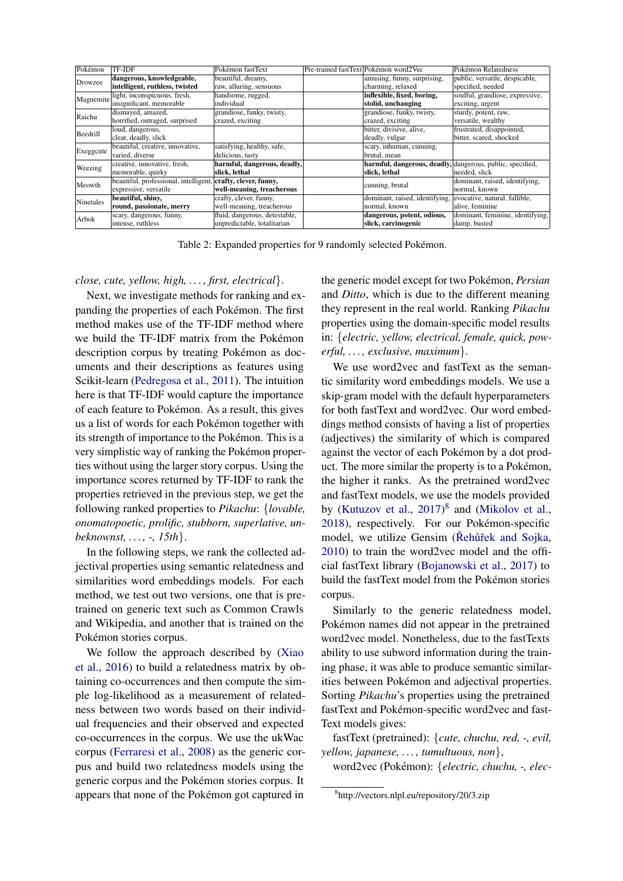| Pokémon   | TF-IDF                                                       | Pokémon fastText              | Pre-trained fastText Pokémon word2Vec                        | Pokémon Relatedness              |
|-----------|--------------------------------------------------------------|-------------------------------|--------------------------------------------------------------|----------------------------------|
| Drowzee   | dangerous, knowledgeable,                                    | beautiful, dreamy,            | amusing, funny, surprising,                                  | public, versatile, despicable,   |
|           | intelligent, ruthless, twisted                               | raw, alluring, sensuous       | charming, relaxed                                            | specified, needed                |
| Magnemite | light, inconspicuous, fresh,                                 | handsome, rugged,             | inflexible, fixed, boring,                                   | soulful, grandiose, expressive,  |
|           | insignificant, memorable                                     | individual                    | stolid, unchanging                                           | exciting, urgent                 |
| Raichu    | dismayed, amazed,                                            | grandiose, funky, twisty,     | grandiose, funky, twisty,                                    | sturdy, potent, raw,             |
|           | horrified, outraged, surprised                               | crazed, exciting              | crazed, exciting                                             | versatile, wealthy               |
| Beedrill  | loud, dangerous,                                             |                               | bitter, divisive, alive,                                     | frustrated, disappointed,        |
|           | clear, deadly, slick                                         |                               | deadly, vulgar                                               | bitter, scared, shocked          |
| Exeggcute | beautiful, creative, innovative,                             | satisfying, healthy, safe,    | scary, inhuman, cunning,                                     |                                  |
|           | varied, diverse                                              | delicious, tasty              | brutal, mean                                                 |                                  |
| Weezing   | creative, innovative, fresh,                                 | harmful, dangerous, deadly,   | harmful, dangerous, deadly, dangerous, public, specified,    |                                  |
|           | memorable, quirky                                            | slick, lethal                 | slick, lethal                                                | needed, slick                    |
| Meowth    | beautiful, professional, intelligent, crafty, clever, funny, |                               | cunning, brutal                                              | dominant, raised, identifying,   |
|           | expressive, versatile                                        | well-meaning, treacherous     |                                                              | normal, known                    |
| Ninetales | beautiful, shiny,                                            | crafty, clever, funny,        | dominant, raised, identifying, evocative, natural, fallible, |                                  |
|           | round, passionate, merry                                     | well-meaning, treacherous     | normal, known                                                | alive, feminine                  |
| Arbok     | scary, dangerous, funny,                                     | fluid, dangerous, detestable, | dangerous, potent, odious,                                   | dominant, feminine, identifying, |
|           | intense, ruthless                                            | unpredictable, totalitarian   | slick, carcinogenic                                          | damp, busted                     |

Table 2: Expanded properties for 9 randomly selected Pokémon.

### *close, cute, yellow, high, . . . , first, electrical*}.

Next, we investigate methods for ranking and expanding the properties of each Pokemon. The first ´ method makes use of the TF-IDF method where we build the TF-IDF matrix from the Pokémon description corpus by treating Pokémon as documents and their descriptions as features using Scikit-learn (Pedregosa et al., 2011). The intuition here is that TF-IDF would capture the importance of each feature to Pokémon. As a result, this gives us a list of words for each Pokemon together with ´ its strength of importance to the Pokémon. This is a very simplistic way of ranking the Pokémon properties without using the larger story corpus. Using the importance scores returned by TF-IDF to rank the properties retrieved in the previous step, we get the following ranked properties to *Pikachu*: {*lovable, onomatopoetic, prolific, stubborn, superlative, unbeknownst, . . . , -, 15th*}.

In the following steps, we rank the collected adjectival properties using semantic relatedness and similarities word embeddings models. For each method, we test out two versions, one that is pretrained on generic text such as Common Crawls and Wikipedia, and another that is trained on the Pokémon stories corpus.

We follow the approach described by (Xiao et al., 2016) to build a relatedness matrix by obtaining co-occurrences and then compute the simple log-likelihood as a measurement of relatedness between two words based on their individual frequencies and their observed and expected co-occurrences in the corpus. We use the ukWac corpus (Ferraresi et al., 2008) as the generic corpus and build two relatedness models using the generic corpus and the Pokemon stories corpus. It ´ appears that none of the Pokémon got captured in

the generic model except for two Pokémon, Persian and *Ditto*, which is due to the different meaning they represent in the real world. Ranking *Pikachu* properties using the domain-specific model results in: {*electric, yellow, electrical, female, quick, powerful, . . . , exclusive, maximum*}.

We use word2vec and fastText as the semantic similarity word embeddings models. We use a skip-gram model with the default hyperparameters for both fastText and word2vec. Our word embeddings method consists of having a list of properties (adjectives) the similarity of which is compared against the vector of each Pokemon by a dot prod- ´ uct. The more similar the property is to a Pokemon, ´ the higher it ranks. As the pretrained word2vec and fastText models, we use the models provided by (Kutuzov et al.,  $2017)^8$  and (Mikolov et al., 2018), respectively. For our Pokemon-specific ´ model, we utilize Gensim (Rehůřek and Sojka, 2010) to train the word2vec model and the official fastText library (Bojanowski et al., 2017) to build the fastText model from the Pokémon stories corpus.

Similarly to the generic relatedness model, Pokémon names did not appear in the pretrained word2vec model. Nonetheless, due to the fastTexts ability to use subword information during the training phase, it was able to produce semantic similarities between Pokémon and adjectival properties. Sorting *Pikachu*'s properties using the pretrained fastText and Pokémon-specific word2vec and fast-Text models gives:

fastText (pretrained): {*cute, chuchu, red, -, evil, yellow, japanese, . . . , tumultuous, non*},

word2vec (Pokémon): {electric, chuchu, -, elec-

<sup>8</sup> http://vectors.nlpl.eu/repository/20/3.zip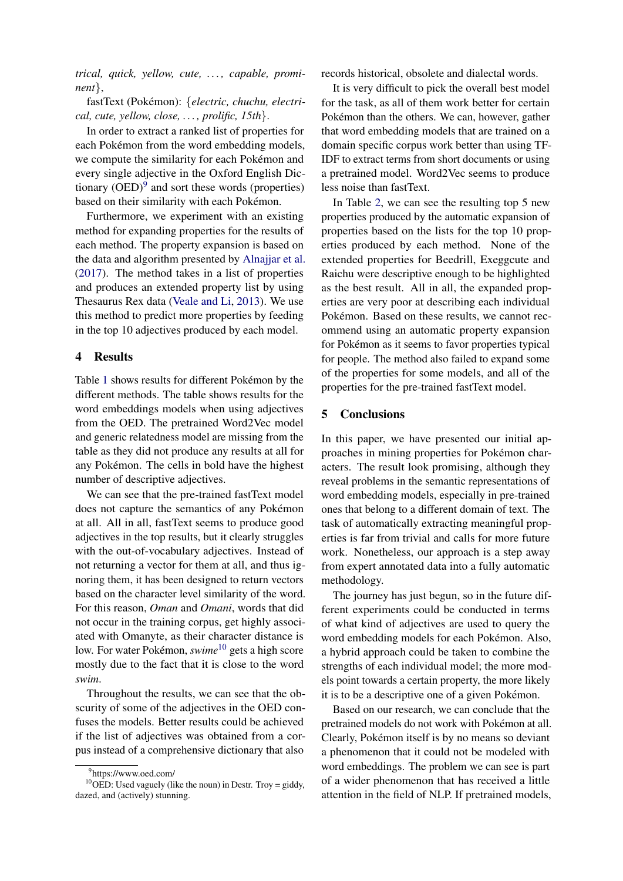*trical, quick, yellow, cute, . . . , capable, prominent*},

fastText (Pokémon): {*electric, chuchu, electrical, cute, yellow, close, . . . , prolific, 15th*}.

In order to extract a ranked list of properties for each Pokémon from the word embedding models, we compute the similarity for each Pokémon and every single adjective in the Oxford English Dictionary  $(OED)^9$  and sort these words (properties) based on their similarity with each Pokémon.

Furthermore, we experiment with an existing method for expanding properties for the results of each method. The property expansion is based on the data and algorithm presented by Alnajjar et al. (2017). The method takes in a list of properties and produces an extended property list by using Thesaurus Rex data (Veale and Li, 2013). We use this method to predict more properties by feeding in the top 10 adjectives produced by each model.

### 4 Results

Table 1 shows results for different Pokémon by the different methods. The table shows results for the word embeddings models when using adjectives from the OED. The pretrained Word2Vec model and generic relatedness model are missing from the table as they did not produce any results at all for any Pokémon. The cells in bold have the highest number of descriptive adjectives.

We can see that the pre-trained fastText model does not capture the semantics of any Pokémon at all. All in all, fastText seems to produce good adjectives in the top results, but it clearly struggles with the out-of-vocabulary adjectives. Instead of not returning a vector for them at all, and thus ignoring them, it has been designed to return vectors based on the character level similarity of the word. For this reason, *Oman* and *Omani*, words that did not occur in the training corpus, get highly associated with Omanyte, as their character distance is low. For water Pokémon, *swime*<sup>10</sup> gets a high score mostly due to the fact that it is close to the word *swim*.

Throughout the results, we can see that the obscurity of some of the adjectives in the OED confuses the models. Better results could be achieved if the list of adjectives was obtained from a corpus instead of a comprehensive dictionary that also records historical, obsolete and dialectal words.

It is very difficult to pick the overall best model for the task, as all of them work better for certain Pokémon than the others. We can, however, gather that word embedding models that are trained on a domain specific corpus work better than using TF-IDF to extract terms from short documents or using a pretrained model. Word2Vec seems to produce less noise than fastText.

In Table 2, we can see the resulting top 5 new properties produced by the automatic expansion of properties based on the lists for the top 10 properties produced by each method. None of the extended properties for Beedrill, Exeggcute and Raichu were descriptive enough to be highlighted as the best result. All in all, the expanded properties are very poor at describing each individual Pokémon. Based on these results, we cannot recommend using an automatic property expansion for Pokémon as it seems to favor properties typical for people. The method also failed to expand some of the properties for some models, and all of the properties for the pre-trained fastText model.

### 5 Conclusions

In this paper, we have presented our initial approaches in mining properties for Pokémon characters. The result look promising, although they reveal problems in the semantic representations of word embedding models, especially in pre-trained ones that belong to a different domain of text. The task of automatically extracting meaningful properties is far from trivial and calls for more future work. Nonetheless, our approach is a step away from expert annotated data into a fully automatic methodology.

The journey has just begun, so in the future different experiments could be conducted in terms of what kind of adjectives are used to query the word embedding models for each Pokemon. Also, ´ a hybrid approach could be taken to combine the strengths of each individual model; the more models point towards a certain property, the more likely it is to be a descriptive one of a given Pokémon.

Based on our research, we can conclude that the pretrained models do not work with Pokemon at all. ´ Clearly, Pokémon itself is by no means so deviant a phenomenon that it could not be modeled with word embeddings. The problem we can see is part of a wider phenomenon that has received a little attention in the field of NLP. If pretrained models,

<sup>9</sup> https://www.oed.com/

<sup>&</sup>lt;sup>10</sup>OED: Used vaguely (like the noun) in Destr. Troy = giddy, dazed, and (actively) stunning.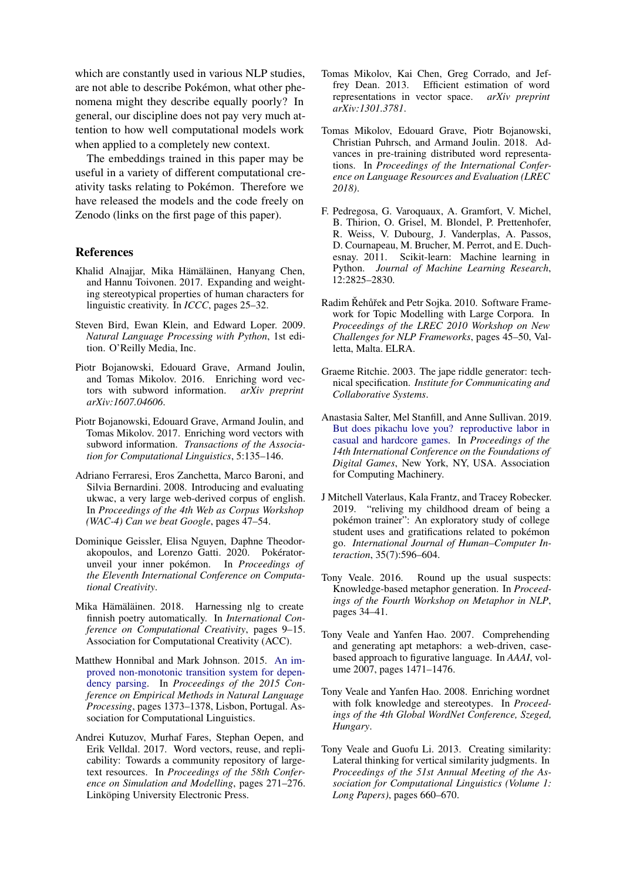which are constantly used in various NLP studies. are not able to describe Pokémon, what other phenomena might they describe equally poorly? In general, our discipline does not pay very much attention to how well computational models work when applied to a completely new context.

The embeddings trained in this paper may be useful in a variety of different computational creativity tasks relating to Pokemon. Therefore we ´ have released the models and the code freely on Zenodo (links on the first page of this paper).

### References

- Khalid Alnajjar, Mika Hämäläinen, Hanyang Chen, and Hannu Toivonen. 2017. Expanding and weighting stereotypical properties of human characters for linguistic creativity. In *ICCC*, pages 25–32.
- Steven Bird, Ewan Klein, and Edward Loper. 2009. *Natural Language Processing with Python*, 1st edition. O'Reilly Media, Inc.
- Piotr Bojanowski, Edouard Grave, Armand Joulin, and Tomas Mikolov. 2016. Enriching word vectors with subword information. *arXiv preprint arXiv:1607.04606*.
- Piotr Bojanowski, Edouard Grave, Armand Joulin, and Tomas Mikolov. 2017. Enriching word vectors with subword information. *Transactions of the Association for Computational Linguistics*, 5:135–146.
- Adriano Ferraresi, Eros Zanchetta, Marco Baroni, and Silvia Bernardini. 2008. Introducing and evaluating ukwac, a very large web-derived corpus of english. In *Proceedings of the 4th Web as Corpus Workshop (WAC-4) Can we beat Google*, pages 47–54.
- Dominique Geissler, Elisa Nguyen, Daphne Theodorakopoulos, and Lorenzo Gatti. 2020. Pokératorunveil your inner pokémon. In *Proceedings of the Eleventh International Conference on Computational Creativity*.
- Mika Hämäläinen. 2018. Harnessing nlg to create finnish poetry automatically. In *International Conference on Computational Creativity*, pages 9–15. Association for Computational Creativity (ACC).
- Matthew Honnibal and Mark Johnson. 2015. [An im](https://aclweb.org/anthology/D/D15/D15-1162)[proved non-monotonic transition system for depen](https://aclweb.org/anthology/D/D15/D15-1162)[dency parsing.](https://aclweb.org/anthology/D/D15/D15-1162) In *Proceedings of the 2015 Conference on Empirical Methods in Natural Language Processing*, pages 1373–1378, Lisbon, Portugal. Association for Computational Linguistics.
- Andrei Kutuzov, Murhaf Fares, Stephan Oepen, and Erik Velldal. 2017. Word vectors, reuse, and replicability: Towards a community repository of largetext resources. In *Proceedings of the 58th Conference on Simulation and Modelling*, pages 271–276. Linköping University Electronic Press.
- Tomas Mikolov, Kai Chen, Greg Corrado, and Jeffrey Dean. 2013. Efficient estimation of word representations in vector space. *arXiv preprint arXiv:1301.3781*.
- Tomas Mikolov, Edouard Grave, Piotr Bojanowski, Christian Puhrsch, and Armand Joulin. 2018. Advances in pre-training distributed word representations. In *Proceedings of the International Conference on Language Resources and Evaluation (LREC 2018)*.
- F. Pedregosa, G. Varoquaux, A. Gramfort, V. Michel, B. Thirion, O. Grisel, M. Blondel, P. Prettenhofer, R. Weiss, V. Dubourg, J. Vanderplas, A. Passos, D. Cournapeau, M. Brucher, M. Perrot, and E. Duchesnay. 2011. Scikit-learn: Machine learning in Python. *Journal of Machine Learning Research*, 12:2825–2830.
- Radim Řehůřek and Petr Sojka. 2010. Software Framework for Topic Modelling with Large Corpora. In *Proceedings of the LREC 2010 Workshop on New Challenges for NLP Frameworks*, pages 45–50, Valletta, Malta. ELRA.
- Graeme Ritchie. 2003. The jape riddle generator: technical specification. *Institute for Communicating and Collaborative Systems*.
- Anastasia Salter, Mel Stanfill, and Anne Sullivan. 2019. [But does pikachu love you? reproductive labor in](https://doi.org/10.1145/3337722.3337739) [casual and hardcore games.](https://doi.org/10.1145/3337722.3337739) In *Proceedings of the 14th International Conference on the Foundations of Digital Games*, New York, NY, USA. Association for Computing Machinery.
- J Mitchell Vaterlaus, Kala Frantz, and Tracey Robecker. 2019. "reliving my childhood dream of being a pokémon trainer": An exploratory study of college student uses and gratifications related to pokémon go. *International Journal of Human–Computer Interaction*, 35(7):596–604.
- Tony Veale. 2016. Round up the usual suspects: Knowledge-based metaphor generation. In *Proceedings of the Fourth Workshop on Metaphor in NLP*, pages 34–41.
- Tony Veale and Yanfen Hao. 2007. Comprehending and generating apt metaphors: a web-driven, casebased approach to figurative language. In *AAAI*, volume 2007, pages 1471–1476.
- Tony Veale and Yanfen Hao. 2008. Enriching wordnet with folk knowledge and stereotypes. In *Proceedings of the 4th Global WordNet Conference, Szeged, Hungary*.
- Tony Veale and Guofu Li. 2013. Creating similarity: Lateral thinking for vertical similarity judgments. In *Proceedings of the 51st Annual Meeting of the Association for Computational Linguistics (Volume 1: Long Papers)*, pages 660–670.